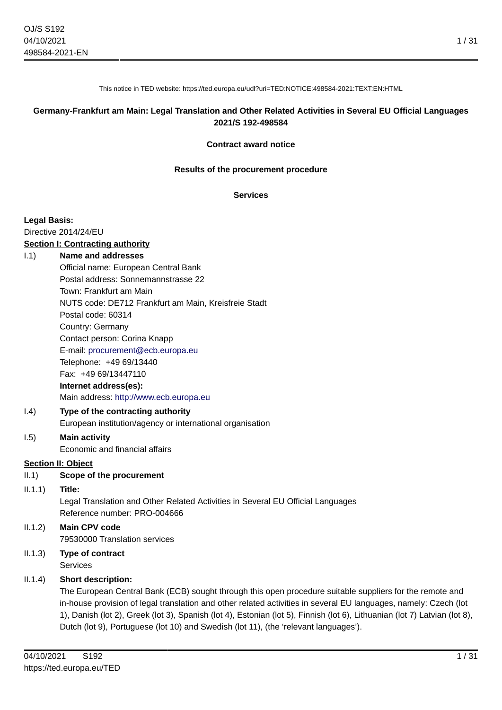This notice in TED website: https://ted.europa.eu/udl?uri=TED:NOTICE:498584-2021:TEXT:EN:HTML

#### **Germany-Frankfurt am Main: Legal Translation and Other Related Activities in Several EU Official Languages 2021/S 192-498584**

#### **Contract award notice**

#### **Results of the procurement procedure**

#### **Services**

#### **Legal Basis:**

Directive 2014/24/EU

#### **Section I: Contracting authority**

#### I.1) **Name and addresses**

Official name: European Central Bank Postal address: Sonnemannstrasse 22 Town: Frankfurt am Main NUTS code: DE712 Frankfurt am Main, Kreisfreie Stadt Postal code: 60314 Country: Germany Contact person: Corina Knapp E-mail: [procurement@ecb.europa.eu](mailto:procurement@ecb.europa.eu) Telephone: +49 69/13440 Fax: +49 69/13447110 **Internet address(es):** Main address:<http://www.ecb.europa.eu>

#### I.4) **Type of the contracting authority** European institution/agency or international organisation

#### I.5) **Main activity**

Economic and financial affairs

#### **Section II: Object**

II.1) **Scope of the procurement**

#### II.1.1) **Title:**

Legal Translation and Other Related Activities in Several EU Official Languages Reference number: PRO-004666

#### II.1.2) **Main CPV code** 79530000 Translation services

II.1.3) **Type of contract Services** 

#### II.1.4) **Short description:**

The European Central Bank (ECB) sought through this open procedure suitable suppliers for the remote and in-house provision of legal translation and other related activities in several EU languages, namely: Czech (lot 1), Danish (lot 2), Greek (lot 3), Spanish (lot 4), Estonian (lot 5), Finnish (lot 6), Lithuanian (lot 7) Latvian (lot 8), Dutch (lot 9), Portuguese (lot 10) and Swedish (lot 11), (the 'relevant languages').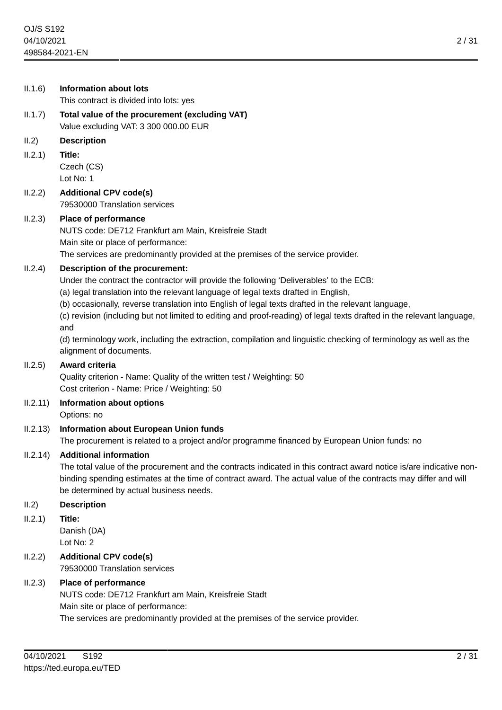| II.1.6)  | <b>Information about lots</b><br>This contract is divided into lots: yes                                                                                                                                                                                                                                                                                                                                                                                                                                                                                                                                  |
|----------|-----------------------------------------------------------------------------------------------------------------------------------------------------------------------------------------------------------------------------------------------------------------------------------------------------------------------------------------------------------------------------------------------------------------------------------------------------------------------------------------------------------------------------------------------------------------------------------------------------------|
| II.1.7)  | Total value of the procurement (excluding VAT)<br>Value excluding VAT: 3 300 000.00 EUR                                                                                                                                                                                                                                                                                                                                                                                                                                                                                                                   |
| II.2)    | <b>Description</b>                                                                                                                                                                                                                                                                                                                                                                                                                                                                                                                                                                                        |
| II.2.1)  | Title:<br>Czech (CS)<br>Lot No: 1                                                                                                                                                                                                                                                                                                                                                                                                                                                                                                                                                                         |
| II.2.2)  | <b>Additional CPV code(s)</b><br>79530000 Translation services                                                                                                                                                                                                                                                                                                                                                                                                                                                                                                                                            |
| II.2.3)  | <b>Place of performance</b><br>NUTS code: DE712 Frankfurt am Main, Kreisfreie Stadt<br>Main site or place of performance:<br>The services are predominantly provided at the premises of the service provider.                                                                                                                                                                                                                                                                                                                                                                                             |
| II.2.4)  | Description of the procurement:<br>Under the contract the contractor will provide the following 'Deliverables' to the ECB:<br>(a) legal translation into the relevant language of legal texts drafted in English,<br>(b) occasionally, reverse translation into English of legal texts drafted in the relevant language,<br>(c) revision (including but not limited to editing and proof-reading) of legal texts drafted in the relevant language,<br>and<br>(d) terminology work, including the extraction, compilation and linguistic checking of terminology as well as the<br>alignment of documents. |
| II.2.5)  | Award criteria<br>Quality criterion - Name: Quality of the written test / Weighting: 50<br>Cost criterion - Name: Price / Weighting: 50                                                                                                                                                                                                                                                                                                                                                                                                                                                                   |
| II.2.11) | <b>Information about options</b><br>Options: no                                                                                                                                                                                                                                                                                                                                                                                                                                                                                                                                                           |
| II.2.13) | Information about European Union funds<br>The procurement is related to a project and/or programme financed by European Union funds: no                                                                                                                                                                                                                                                                                                                                                                                                                                                                   |
|          | II.2.14) Additional information<br>The total value of the procurement and the contracts indicated in this contract award notice is/are indicative non-<br>binding spending estimates at the time of contract award. The actual value of the contracts may differ and will<br>be determined by actual business needs.                                                                                                                                                                                                                                                                                      |
| II.2)    | <b>Description</b>                                                                                                                                                                                                                                                                                                                                                                                                                                                                                                                                                                                        |
| II.2.1)  | Title:<br>Danish (DA)<br>Lot No: 2                                                                                                                                                                                                                                                                                                                                                                                                                                                                                                                                                                        |
| II.2.2)  | <b>Additional CPV code(s)</b><br>79530000 Translation services                                                                                                                                                                                                                                                                                                                                                                                                                                                                                                                                            |
| II.2.3)  | <b>Place of performance</b><br>NUTS code: DE712 Frankfurt am Main, Kreisfreie Stadt<br>Main site or place of performance:<br>The services are predominantly provided at the premises of the service provider.                                                                                                                                                                                                                                                                                                                                                                                             |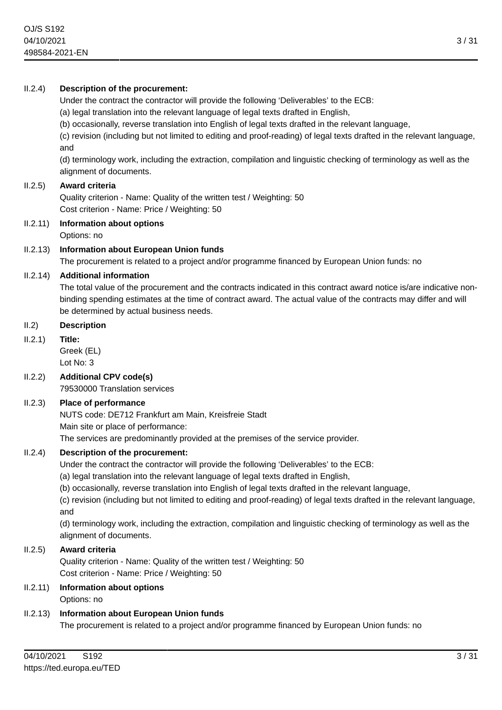### II.2.4) **Description of the procurement:**

Under the contract the contractor will provide the following 'Deliverables' to the ECB:

(a) legal translation into the relevant language of legal texts drafted in English,

(b) occasionally, reverse translation into English of legal texts drafted in the relevant language,

(c) revision (including but not limited to editing and proof-reading) of legal texts drafted in the relevant language, and

(d) terminology work, including the extraction, compilation and linguistic checking of terminology as well as the alignment of documents.

#### II.2.5) **Award criteria**

Quality criterion - Name: Quality of the written test / Weighting: 50 Cost criterion - Name: Price / Weighting: 50

#### II.2.11) **Information about options** Options: no

#### II.2.13) **Information about European Union funds**

The procurement is related to a project and/or programme financed by European Union funds: no

#### II.2.14) **Additional information**

The total value of the procurement and the contracts indicated in this contract award notice is/are indicative nonbinding spending estimates at the time of contract award. The actual value of the contracts may differ and will be determined by actual business needs.

#### II.2) **Description**

#### II.2.1) **Title:**

Greek (EL) Lot No: 3

II.2.2) **Additional CPV code(s)**

79530000 Translation services

#### II.2.3) **Place of performance**

NUTS code: DE712 Frankfurt am Main, Kreisfreie Stadt Main site or place of performance:

The services are predominantly provided at the premises of the service provider.

#### II.2.4) **Description of the procurement:**

Under the contract the contractor will provide the following 'Deliverables' to the ECB:

- (a) legal translation into the relevant language of legal texts drafted in English,
- (b) occasionally, reverse translation into English of legal texts drafted in the relevant language,

(c) revision (including but not limited to editing and proof-reading) of legal texts drafted in the relevant language, and

(d) terminology work, including the extraction, compilation and linguistic checking of terminology as well as the alignment of documents.

#### II.2.5) **Award criteria**

Quality criterion - Name: Quality of the written test / Weighting: 50 Cost criterion - Name: Price / Weighting: 50

# II.2.11) **Information about options**

Options: no

#### II.2.13) **Information about European Union funds**

The procurement is related to a project and/or programme financed by European Union funds: no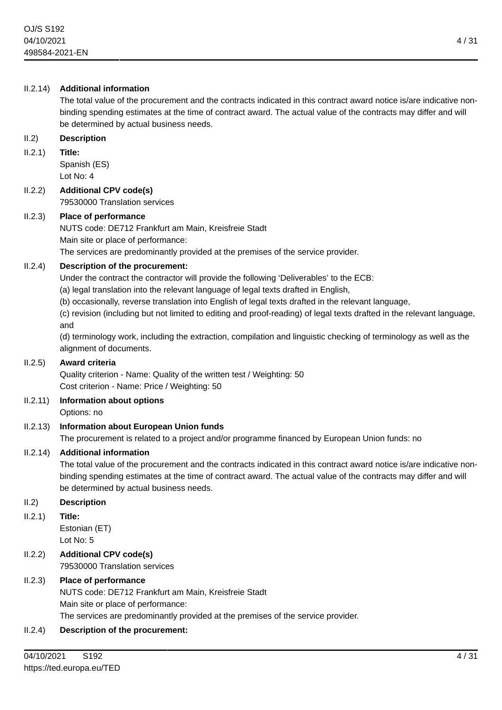### II.2.14) **Additional information**

The total value of the procurement and the contracts indicated in this contract award notice is/are indicative nonbinding spending estimates at the time of contract award. The actual value of the contracts may differ and will be determined by actual business needs.

#### II.2) **Description**

#### II.2.1) **Title:**

Spanish (ES) Lot No: 4

#### II.2.2) **Additional CPV code(s)** 79530000 Translation services

#### II.2.3) **Place of performance**

NUTS code: DE712 Frankfurt am Main, Kreisfreie Stadt Main site or place of performance: The services are predominantly provided at the premises of the service provider.

### II.2.4) **Description of the procurement:**

Under the contract the contractor will provide the following 'Deliverables' to the ECB:

(a) legal translation into the relevant language of legal texts drafted in English,

(b) occasionally, reverse translation into English of legal texts drafted in the relevant language,

(c) revision (including but not limited to editing and proof-reading) of legal texts drafted in the relevant language, and

(d) terminology work, including the extraction, compilation and linguistic checking of terminology as well as the alignment of documents.

#### II.2.5) **Award criteria**

Quality criterion - Name: Quality of the written test / Weighting: 50 Cost criterion - Name: Price / Weighting: 50

# II.2.11) **Information about options**

Options: no

# II.2.13) **Information about European Union funds**

The procurement is related to a project and/or programme financed by European Union funds: no

# II.2.14) **Additional information**

The total value of the procurement and the contracts indicated in this contract award notice is/are indicative nonbinding spending estimates at the time of contract award. The actual value of the contracts may differ and will be determined by actual business needs.

#### II.2) **Description**

II.2.1) **Title:**

Estonian (ET) Lot No: 5

II.2.2) **Additional CPV code(s)** 79530000 Translation services

# II.2.3) **Place of performance**

NUTS code: DE712 Frankfurt am Main, Kreisfreie Stadt Main site or place of performance: The services are predominantly provided at the premises of the service provider.

# II.2.4) **Description of the procurement:**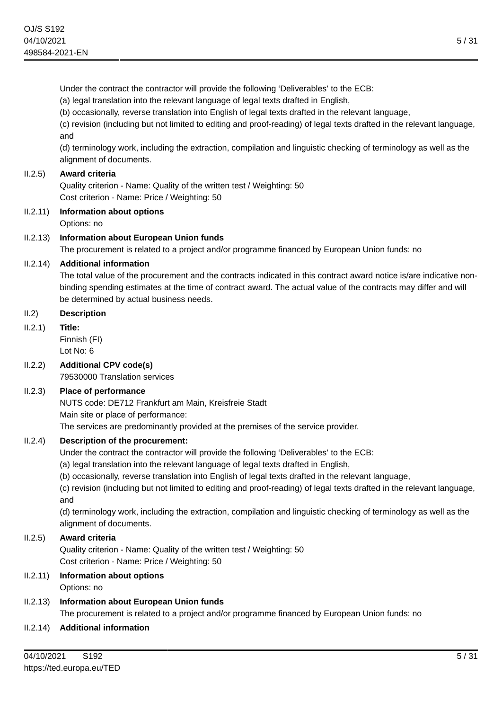Under the contract the contractor will provide the following 'Deliverables' to the ECB:

(a) legal translation into the relevant language of legal texts drafted in English,

(b) occasionally, reverse translation into English of legal texts drafted in the relevant language,

(c) revision (including but not limited to editing and proof-reading) of legal texts drafted in the relevant language, and

(d) terminology work, including the extraction, compilation and linguistic checking of terminology as well as the alignment of documents.

#### II.2.5) **Award criteria**

Quality criterion - Name: Quality of the written test / Weighting: 50 Cost criterion - Name: Price / Weighting: 50

#### II.2.11) **Information about options** Options: no

II.2.13) **Information about European Union funds** The procurement is related to a project and/or programme financed by European Union funds: no

### II.2.14) **Additional information**

The total value of the procurement and the contracts indicated in this contract award notice is/are indicative nonbinding spending estimates at the time of contract award. The actual value of the contracts may differ and will be determined by actual business needs.

### II.2) **Description**

### II.2.1) **Title:**

Finnish (FI) Lot No: 6

II.2.2) **Additional CPV code(s)**

79530000 Translation services

# II.2.3) **Place of performance**

NUTS code: DE712 Frankfurt am Main, Kreisfreie Stadt

Main site or place of performance:

The services are predominantly provided at the premises of the service provider.

# II.2.4) **Description of the procurement:**

Under the contract the contractor will provide the following 'Deliverables' to the ECB:

(a) legal translation into the relevant language of legal texts drafted in English,

(b) occasionally, reverse translation into English of legal texts drafted in the relevant language,

(c) revision (including but not limited to editing and proof-reading) of legal texts drafted in the relevant language, and

(d) terminology work, including the extraction, compilation and linguistic checking of terminology as well as the alignment of documents.

# II.2.5) **Award criteria**

Quality criterion - Name: Quality of the written test / Weighting: 50 Cost criterion - Name: Price / Weighting: 50

# II.2.11) **Information about options**

Options: no

# II.2.13) **Information about European Union funds**

The procurement is related to a project and/or programme financed by European Union funds: no

# II.2.14) **Additional information**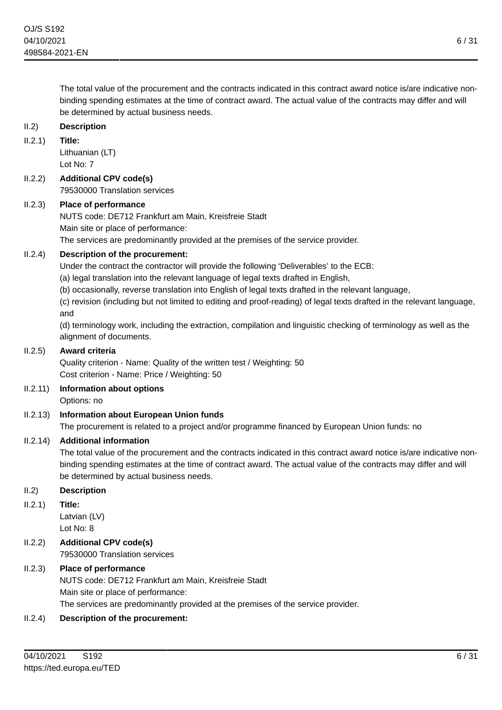The total value of the procurement and the contracts indicated in this contract award notice is/are indicative nonbinding spending estimates at the time of contract award. The actual value of the contracts may differ and will be determined by actual business needs.

# II.2) **Description**

II.2.1) **Title:** Lithuanian (LT) Lot No: 7

# II.2.2) **Additional CPV code(s)**

79530000 Translation services

# II.2.3) **Place of performance**

NUTS code: DE712 Frankfurt am Main, Kreisfreie Stadt

Main site or place of performance:

The services are predominantly provided at the premises of the service provider.

# II.2.4) **Description of the procurement:**

Under the contract the contractor will provide the following 'Deliverables' to the ECB:

(a) legal translation into the relevant language of legal texts drafted in English,

(b) occasionally, reverse translation into English of legal texts drafted in the relevant language,

(c) revision (including but not limited to editing and proof-reading) of legal texts drafted in the relevant language, and

(d) terminology work, including the extraction, compilation and linguistic checking of terminology as well as the alignment of documents.

# II.2.5) **Award criteria**

Quality criterion - Name: Quality of the written test / Weighting: 50 Cost criterion - Name: Price / Weighting: 50

# II.2.11) **Information about options**

Options: no

# II.2.13) **Information about European Union funds**

The procurement is related to a project and/or programme financed by European Union funds: no

# II.2.14) **Additional information**

The total value of the procurement and the contracts indicated in this contract award notice is/are indicative nonbinding spending estimates at the time of contract award. The actual value of the contracts may differ and will be determined by actual business needs.

# II.2) **Description**

II.2.1) **Title:**

Latvian (LV) Lot No: 8

II.2.2) **Additional CPV code(s)** 79530000 Translation services

# II.2.3) **Place of performance**

NUTS code: DE712 Frankfurt am Main, Kreisfreie Stadt Main site or place of performance: The services are predominantly provided at the premises of the service provider.

# II.2.4) **Description of the procurement:**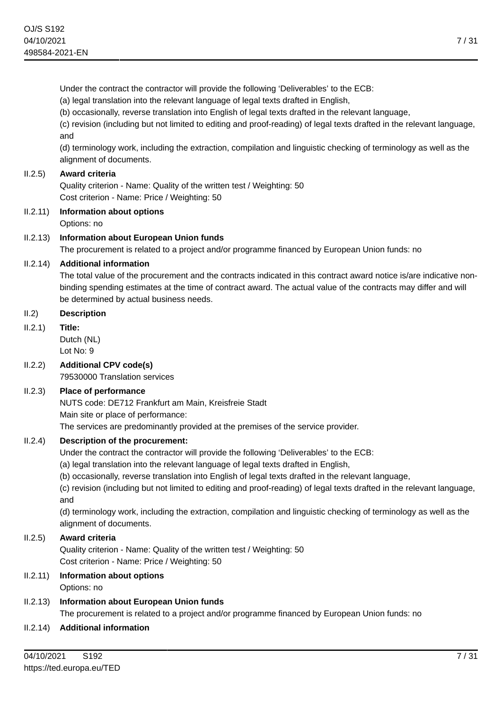Under the contract the contractor will provide the following 'Deliverables' to the ECB:

(a) legal translation into the relevant language of legal texts drafted in English,

(b) occasionally, reverse translation into English of legal texts drafted in the relevant language,

(c) revision (including but not limited to editing and proof-reading) of legal texts drafted in the relevant language, and

(d) terminology work, including the extraction, compilation and linguistic checking of terminology as well as the alignment of documents.

#### II.2.5) **Award criteria**

Quality criterion - Name: Quality of the written test / Weighting: 50 Cost criterion - Name: Price / Weighting: 50

#### II.2.11) **Information about options** Options: no

II.2.13) **Information about European Union funds** The procurement is related to a project and/or programme financed by European Union funds: no

### II.2.14) **Additional information**

The total value of the procurement and the contracts indicated in this contract award notice is/are indicative nonbinding spending estimates at the time of contract award. The actual value of the contracts may differ and will be determined by actual business needs.

### II.2) **Description**

### II.2.1) **Title:**

Dutch (NL) Lot No: 9

II.2.2) **Additional CPV code(s)** 79530000 Translation services

# II.2.3) **Place of performance**

NUTS code: DE712 Frankfurt am Main, Kreisfreie Stadt

Main site or place of performance:

The services are predominantly provided at the premises of the service provider.

# II.2.4) **Description of the procurement:**

Under the contract the contractor will provide the following 'Deliverables' to the ECB:

(a) legal translation into the relevant language of legal texts drafted in English,

(b) occasionally, reverse translation into English of legal texts drafted in the relevant language,

(c) revision (including but not limited to editing and proof-reading) of legal texts drafted in the relevant language, and

(d) terminology work, including the extraction, compilation and linguistic checking of terminology as well as the alignment of documents.

# II.2.5) **Award criteria**

Quality criterion - Name: Quality of the written test / Weighting: 50 Cost criterion - Name: Price / Weighting: 50

# II.2.11) **Information about options**

Options: no

# II.2.13) **Information about European Union funds**

The procurement is related to a project and/or programme financed by European Union funds: no

# II.2.14) **Additional information**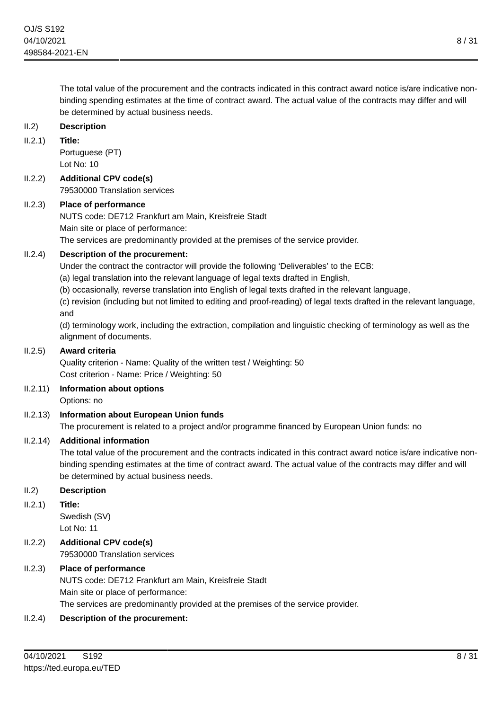The total value of the procurement and the contracts indicated in this contract award notice is/are indicative nonbinding spending estimates at the time of contract award. The actual value of the contracts may differ and will be determined by actual business needs.

# II.2) **Description**

II.2.1) **Title:**

Portuguese (PT) Lot No: 10

II.2.2) **Additional CPV code(s)** 79530000 Translation services

# II.2.3) **Place of performance**

NUTS code: DE712 Frankfurt am Main, Kreisfreie Stadt

Main site or place of performance:

The services are predominantly provided at the premises of the service provider.

# II.2.4) **Description of the procurement:**

Under the contract the contractor will provide the following 'Deliverables' to the ECB:

(a) legal translation into the relevant language of legal texts drafted in English,

(b) occasionally, reverse translation into English of legal texts drafted in the relevant language,

(c) revision (including but not limited to editing and proof-reading) of legal texts drafted in the relevant language, and

(d) terminology work, including the extraction, compilation and linguistic checking of terminology as well as the alignment of documents.

#### II.2.5) **Award criteria**

Quality criterion - Name: Quality of the written test / Weighting: 50 Cost criterion - Name: Price / Weighting: 50

# II.2.11) **Information about options**

Options: no

# II.2.13) **Information about European Union funds**

The procurement is related to a project and/or programme financed by European Union funds: no

# II.2.14) **Additional information**

The total value of the procurement and the contracts indicated in this contract award notice is/are indicative nonbinding spending estimates at the time of contract award. The actual value of the contracts may differ and will be determined by actual business needs.

#### II.2) **Description**

II.2.1) **Title:**

Swedish (SV) Lot No: 11

II.2.2) **Additional CPV code(s)** 79530000 Translation services

# II.2.3) **Place of performance**

NUTS code: DE712 Frankfurt am Main, Kreisfreie Stadt Main site or place of performance: The services are predominantly provided at the premises of the service provider.

# II.2.4) **Description of the procurement:**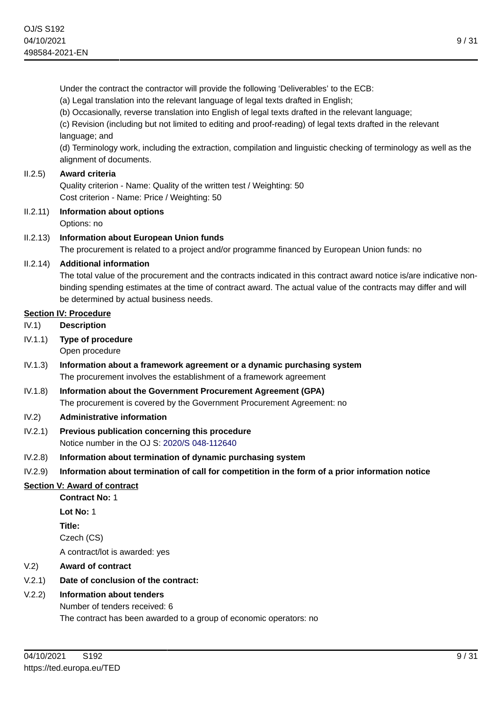Under the contract the contractor will provide the following 'Deliverables' to the ECB:

(a) Legal translation into the relevant language of legal texts drafted in English;

(b) Occasionally, reverse translation into English of legal texts drafted in the relevant language;

(c) Revision (including but not limited to editing and proof-reading) of legal texts drafted in the relevant language; and

(d) Terminology work, including the extraction, compilation and linguistic checking of terminology as well as the alignment of documents.

#### II.2.5) **Award criteria**

Quality criterion - Name: Quality of the written test / Weighting: 50 Cost criterion - Name: Price / Weighting: 50

- II.2.11) **Information about options** Options: no
- II.2.13) **Information about European Union funds** The procurement is related to a project and/or programme financed by European Union funds: no
- II.2.14) **Additional information**

The total value of the procurement and the contracts indicated in this contract award notice is/are indicative nonbinding spending estimates at the time of contract award. The actual value of the contracts may differ and will be determined by actual business needs.

### **Section IV: Procedure**

- IV.1) **Description**
- IV.1.1) **Type of procedure**
- Open procedure
- IV.1.3) **Information about a framework agreement or a dynamic purchasing system** The procurement involves the establishment of a framework agreement
- IV.1.8) **Information about the Government Procurement Agreement (GPA)** The procurement is covered by the Government Procurement Agreement: no

#### IV.2) **Administrative information**

- IV.2.1) **Previous publication concerning this procedure** Notice number in the OJ S: [2020/S 048-112640](https://ted.europa.eu/udl?uri=TED:NOTICE:112640-2020:TEXT:EN:HTML)
- IV.2.8) **Information about termination of dynamic purchasing system**
- IV.2.9) **Information about termination of call for competition in the form of a prior information notice**

# **Section V: Award of contract**

**Contract No:** 1

**Lot No:** 1

**Title:**

Czech (CS)

A contract/lot is awarded: yes

# V.2) **Award of contract**

V.2.1) **Date of conclusion of the contract:**

# V.2.2) **Information about tenders**

Number of tenders received: 6

The contract has been awarded to a group of economic operators: no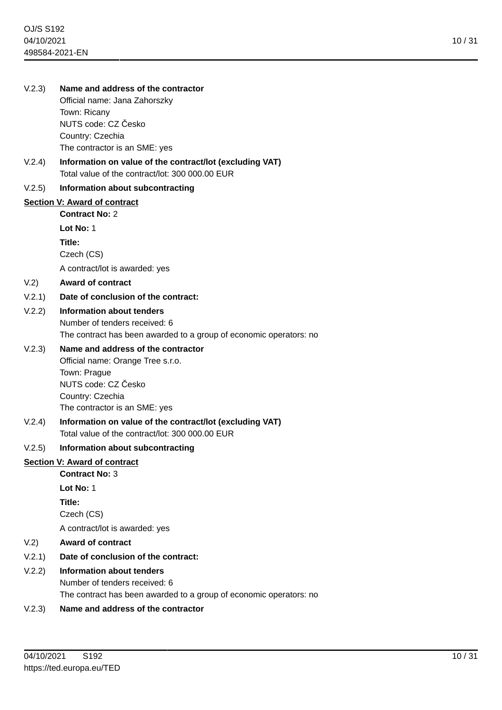| V.2.3) | Name and address of the contractor<br>Official name: Jana Zahorszky                                         |
|--------|-------------------------------------------------------------------------------------------------------------|
|        | Town: Ricany                                                                                                |
|        | NUTS code: CZ Česko<br>Country: Czechia                                                                     |
|        | The contractor is an SME: yes                                                                               |
| V.2.4) | Information on value of the contract/lot (excluding VAT)<br>Total value of the contract/lot: 300 000.00 EUR |
| V.2.5) | Information about subcontracting                                                                            |
|        | Section V: Award of contract                                                                                |
|        | <b>Contract No: 2</b>                                                                                       |
|        | Lot No: 1                                                                                                   |
|        | Title:                                                                                                      |
|        | Czech (CS)                                                                                                  |
|        | A contract/lot is awarded: yes                                                                              |
| V.2)   | <b>Award of contract</b>                                                                                    |
| V.2.1) | Date of conclusion of the contract:                                                                         |
| V.2.2) | <b>Information about tenders</b>                                                                            |
|        | Number of tenders received: 6                                                                               |
|        | The contract has been awarded to a group of economic operators: no                                          |
| V.2.3) | Name and address of the contractor                                                                          |
|        | Official name: Orange Tree s.r.o.<br>Town: Prague                                                           |
|        | NUTS code: CZ Česko                                                                                         |
|        | Country: Czechia                                                                                            |
|        | The contractor is an SME: yes                                                                               |
| V.2.4) | Information on value of the contract/lot (excluding VAT)<br>Total value of the contract/lot: 300 000.00 EUR |
| V.2.5) | Information about subcontracting                                                                            |
|        | <b>Section V: Award of contract</b>                                                                         |
|        | <b>Contract No: 3</b>                                                                                       |
|        | Lot No: 1                                                                                                   |
|        | Title:                                                                                                      |
|        | Czech (CS)                                                                                                  |
|        | A contract/lot is awarded: yes                                                                              |
| V.2)   | <b>Award of contract</b>                                                                                    |
| V.2.1) | Date of conclusion of the contract:                                                                         |
| V.2.2) | Information about tenders                                                                                   |
|        | Number of tenders received: 6                                                                               |
|        | The contract has been awarded to a group of economic operators: no                                          |
| V.2.3) | Name and address of the contractor                                                                          |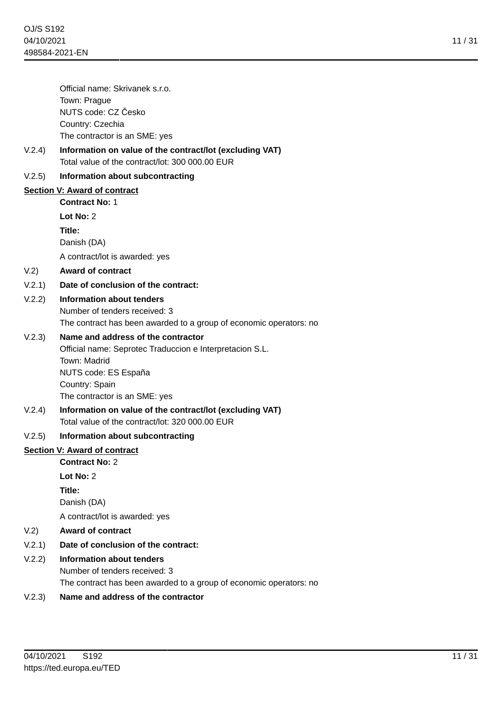Official name: Skrivanek s.r.o. Town: Prague NUTS code: CZ Česko Country: Czechia The contractor is an SME: yes

V.2.4) **Information on value of the contract/lot (excluding VAT)** Total value of the contract/lot: 300 000.00 EUR

# V.2.5) **Information about subcontracting**

# **Section V: Award of contract**

**Contract No:** 1

**Lot No:** 2

**Title:**

Danish (DA)

A contract/lot is awarded: yes

# V.2) **Award of contract**

# V.2.1) **Date of conclusion of the contract:**

# V.2.2) **Information about tenders**

Number of tenders received: 3 The contract has been awarded to a group of economic operators: no

# V.2.3) **Name and address of the contractor**

Official name: Seprotec Traduccion e Interpretacion S.L. Town: Madrid NUTS code: ES España Country: Spain The contractor is an SME: yes

V.2.4) **Information on value of the contract/lot (excluding VAT)** Total value of the contract/lot: 320 000.00 EUR

# V.2.5) **Information about subcontracting**

# **Section V: Award of contract**

**Contract No:** 2

**Lot No:** 2

**Title:**

Danish (DA)

A contract/lot is awarded: yes

# V.2) **Award of contract**

# V.2.1) **Date of conclusion of the contract:**

# V.2.2) **Information about tenders**

Number of tenders received: 3

The contract has been awarded to a group of economic operators: no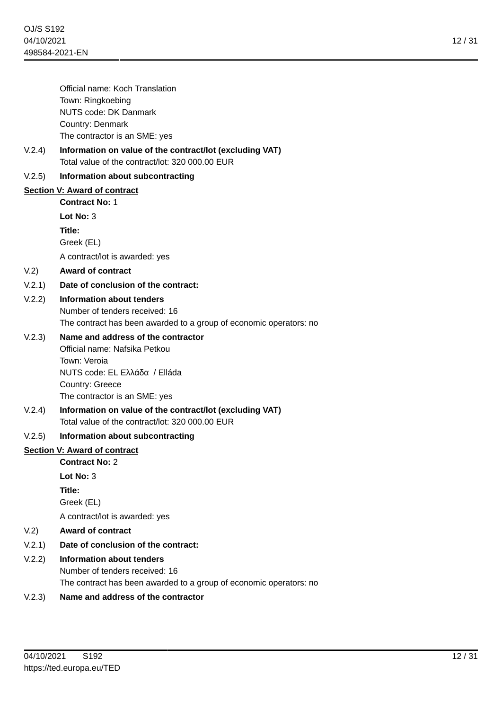12 / 31

Official name: Koch Translation Town: Ringkoebing NUTS code: DK Danmark Country: Denmark The contractor is an SME: yes

V.2.4) **Information on value of the contract/lot (excluding VAT)** Total value of the contract/lot: 320 000.00 EUR

# V.2.5) **Information about subcontracting**

### **Section V: Award of contract**

**Contract No:** 1

**Lot No:** 3

**Title:**

Greek (EL)

A contract/lot is awarded: yes

### V.2) **Award of contract**

### V.2.1) **Date of conclusion of the contract:**

### V.2.2) **Information about tenders**

Number of tenders received: 16 The contract has been awarded to a group of economic operators: no

### V.2.3) **Name and address of the contractor**

Official name: Nafsika Petkou Town: Veroia NUTS code: EL Ελλάδα / Elláda Country: Greece The contractor is an SME: yes

V.2.4) **Information on value of the contract/lot (excluding VAT)** Total value of the contract/lot: 320 000.00 EUR

#### V.2.5) **Information about subcontracting**

# **Section V: Award of contract**

**Contract No:** 2

**Lot No:** 3

**Title:**

Greek (EL)

A contract/lot is awarded: yes

# V.2) **Award of contract**

# V.2.1) **Date of conclusion of the contract:**

# V.2.2) **Information about tenders**

Number of tenders received: 16

The contract has been awarded to a group of economic operators: no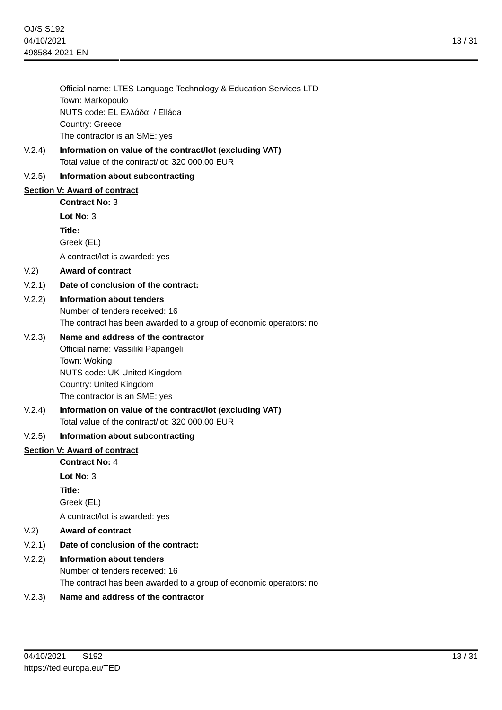Official name: LTES Language Technology & Education Services LTD Town: Markopoulo NUTS code: EL Ελλάδα / Elláda Country: Greece The contractor is an SME: yes

V.2.4) **Information on value of the contract/lot (excluding VAT)** Total value of the contract/lot: 320 000.00 EUR

# V.2.5) **Information about subcontracting**

# **Section V: Award of contract**

**Contract No:** 3

**Lot No:** 3

**Title:**

Greek (EL)

A contract/lot is awarded: yes

# V.2) **Award of contract**

### V.2.1) **Date of conclusion of the contract:**

# V.2.2) **Information about tenders**

Number of tenders received: 16 The contract has been awarded to a group of economic operators: no

# V.2.3) **Name and address of the contractor**

Official name: Vassiliki Papangeli Town: Woking NUTS code: UK United Kingdom Country: United Kingdom The contractor is an SME: yes

V.2.4) **Information on value of the contract/lot (excluding VAT)** Total value of the contract/lot: 320 000.00 EUR

#### V.2.5) **Information about subcontracting**

# **Section V: Award of contract**

**Contract No:** 4

**Lot No:** 3

**Title:**

Greek (EL)

A contract/lot is awarded: yes

# V.2) **Award of contract**

# V.2.1) **Date of conclusion of the contract:**

# V.2.2) **Information about tenders**

Number of tenders received: 16

The contract has been awarded to a group of economic operators: no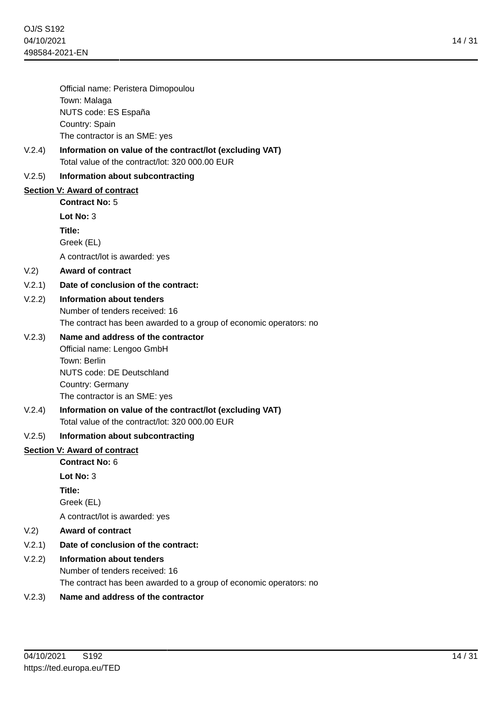Official name: Peristera Dimopoulou Town: Malaga NUTS code: ES España Country: Spain The contractor is an SME: yes

V.2.4) **Information on value of the contract/lot (excluding VAT)** Total value of the contract/lot: 320 000.00 EUR

### V.2.5) **Information about subcontracting**

### **Section V: Award of contract**

**Contract No:** 5

**Lot No:** 3

**Title:**

Greek (EL)

A contract/lot is awarded: yes

#### V.2) **Award of contract**

#### V.2.1) **Date of conclusion of the contract:**

# V.2.2) **Information about tenders**

Number of tenders received: 16 The contract has been awarded to a group of economic operators: no

### V.2.3) **Name and address of the contractor**

Official name: Lengoo GmbH Town: Berlin NUTS code: DE Deutschland Country: Germany The contractor is an SME: yes

V.2.4) **Information on value of the contract/lot (excluding VAT)** Total value of the contract/lot: 320 000.00 EUR

#### V.2.5) **Information about subcontracting**

# **Section V: Award of contract**

**Contract No:** 6

**Lot No:** 3

**Title:**

Greek (EL)

A contract/lot is awarded: yes

# V.2) **Award of contract**

#### V.2.1) **Date of conclusion of the contract:**

# V.2.2) **Information about tenders**

Number of tenders received: 16

The contract has been awarded to a group of economic operators: no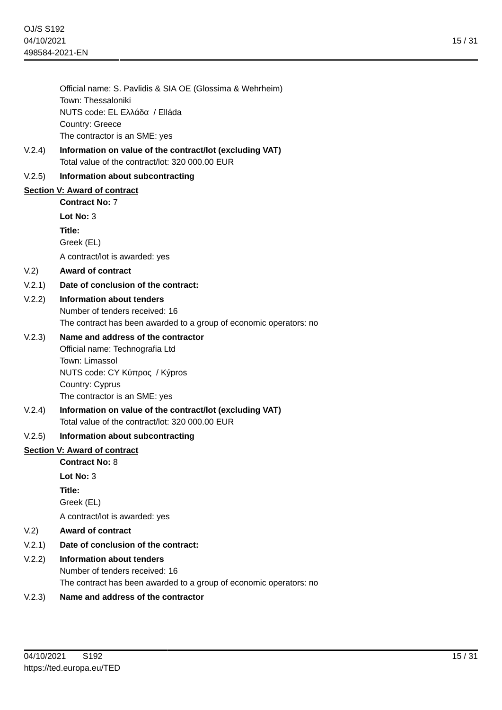Official name: S. Pavlidis & SIA OE (Glossima & Wehrheim) Town: Thessaloniki NUTS code: EL Ελλάδα / Elláda Country: Greece The contractor is an SME: yes

V.2.4) **Information on value of the contract/lot (excluding VAT)** Total value of the contract/lot: 320 000.00 EUR

# V.2.5) **Information about subcontracting**

# **Section V: Award of contract**

**Contract No:** 7

**Lot No:** 3

**Title:**

Greek (EL)

A contract/lot is awarded: yes

# V.2) **Award of contract**

# V.2.1) **Date of conclusion of the contract:**

# V.2.2) **Information about tenders**

Number of tenders received: 16 The contract has been awarded to a group of economic operators: no

# V.2.3) **Name and address of the contractor**

Official name: Technografia Ltd Town: Limassol NUTS code: CY Κύπρος / Kýpros Country: Cyprus The contractor is an SME: yes

V.2.4) **Information on value of the contract/lot (excluding VAT)** Total value of the contract/lot: 320 000.00 EUR

# V.2.5) **Information about subcontracting**

# **Section V: Award of contract**

**Contract No:** 8

**Lot No:** 3

**Title:**

Greek (EL)

A contract/lot is awarded: yes

# V.2) **Award of contract**

# V.2.1) **Date of conclusion of the contract:**

# V.2.2) **Information about tenders**

Number of tenders received: 16

The contract has been awarded to a group of economic operators: no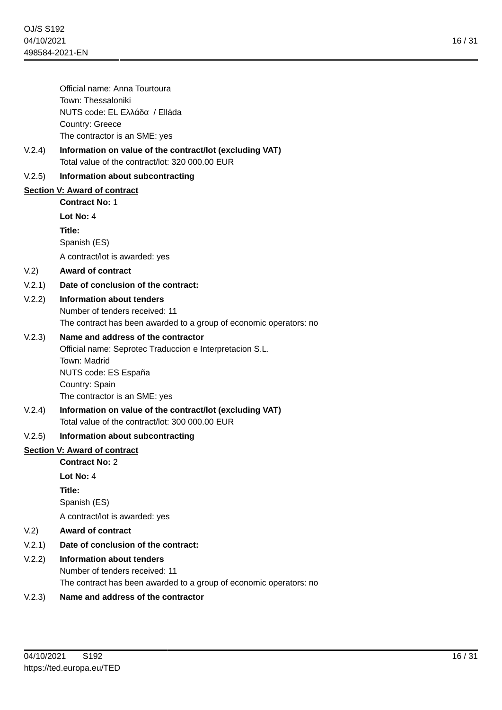16 / 31

Official name: Anna Tourtoura Town: Thessaloniki NUTS code: EL Ελλάδα / Elláda Country: Greece The contractor is an SME: yes

V.2.4) **Information on value of the contract/lot (excluding VAT)** Total value of the contract/lot: 320 000.00 EUR

# V.2.5) **Information about subcontracting**

# **Section V: Award of contract**

**Contract No:** 1

**Lot No:** 4

**Title:**

Spanish (ES)

A contract/lot is awarded: yes

# V.2) **Award of contract**

### V.2.1) **Date of conclusion of the contract:**

# V.2.2) **Information about tenders**

Number of tenders received: 11 The contract has been awarded to a group of economic operators: no

### V.2.3) **Name and address of the contractor**

Official name: Seprotec Traduccion e Interpretacion S.L. Town: Madrid NUTS code: ES España Country: Spain The contractor is an SME: yes

V.2.4) **Information on value of the contract/lot (excluding VAT)** Total value of the contract/lot: 300 000.00 EUR

# V.2.5) **Information about subcontracting**

# **Section V: Award of contract**

**Contract No:** 2

**Lot No:** 4

**Title:**

Spanish (ES)

A contract/lot is awarded: yes

# V.2) **Award of contract**

# V.2.1) **Date of conclusion of the contract:**

# V.2.2) **Information about tenders**

Number of tenders received: 11

The contract has been awarded to a group of economic operators: no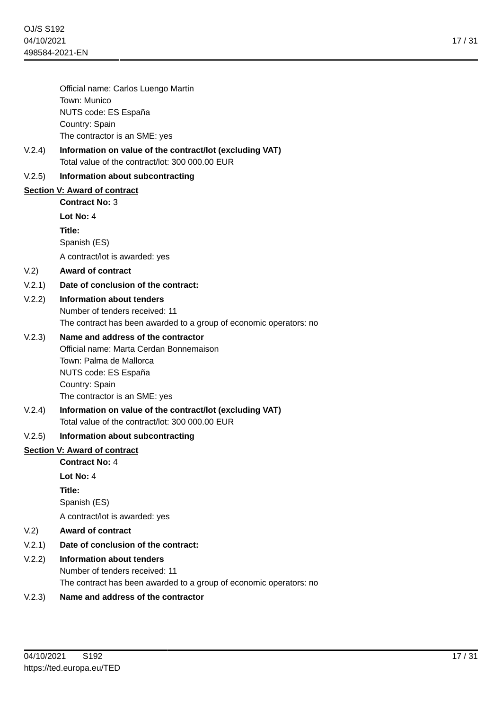Official name: Carlos Luengo Martin Town: Munico NUTS code: ES España Country: Spain The contractor is an SME: yes

V.2.4) **Information on value of the contract/lot (excluding VAT)** Total value of the contract/lot: 300 000.00 EUR

# V.2.5) **Information about subcontracting**

# **Section V: Award of contract**

**Contract No:** 3

**Lot No:** 4

**Title:**

Spanish (ES)

A contract/lot is awarded: yes

# V.2) **Award of contract**

V.2.1) **Date of conclusion of the contract:**

# V.2.2) **Information about tenders**

Number of tenders received: 11 The contract has been awarded to a group of economic operators: no

# V.2.3) **Name and address of the contractor**

Official name: Marta Cerdan Bonnemaison Town: Palma de Mallorca NUTS code: ES España Country: Spain The contractor is an SME: yes

V.2.4) **Information on value of the contract/lot (excluding VAT)** Total value of the contract/lot: 300 000.00 EUR

# V.2.5) **Information about subcontracting**

# **Section V: Award of contract**

**Contract No:** 4

**Lot No:** 4

**Title:**

Spanish (ES)

A contract/lot is awarded: yes

# V.2) **Award of contract**

# V.2.1) **Date of conclusion of the contract:**

# V.2.2) **Information about tenders**

Number of tenders received: 11

The contract has been awarded to a group of economic operators: no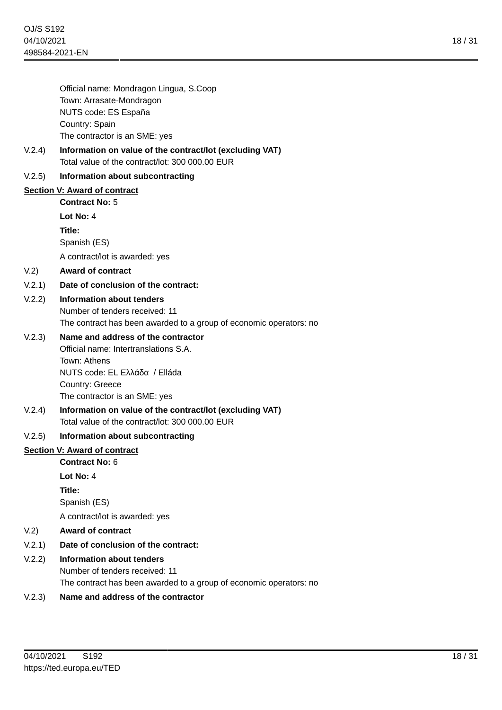Official name: Mondragon Lingua, S.Coop Town: Arrasate-Mondragon NUTS code: ES España Country: Spain The contractor is an SME: yes

V.2.4) **Information on value of the contract/lot (excluding VAT)** Total value of the contract/lot: 300 000.00 EUR

#### V.2.5) **Information about subcontracting**

### **Section V: Award of contract**

**Contract No:** 5

**Lot No:** 4

**Title:**

Spanish (ES)

A contract/lot is awarded: yes

#### V.2) **Award of contract**

#### V.2.1) **Date of conclusion of the contract:**

#### V.2.2) **Information about tenders**

Number of tenders received: 11 The contract has been awarded to a group of economic operators: no

#### V.2.3) **Name and address of the contractor**

Official name: Intertranslations S.A. Town: Athens NUTS code: EL Ελλάδα / Elláda Country: Greece The contractor is an SME: yes

V.2.4) **Information on value of the contract/lot (excluding VAT)** Total value of the contract/lot: 300 000.00 EUR

#### V.2.5) **Information about subcontracting**

#### **Section V: Award of contract**

**Contract No:** 6

**Lot No:** 4

**Title:**

Spanish (ES)

A contract/lot is awarded: yes

# V.2) **Award of contract**

#### V.2.1) **Date of conclusion of the contract:**

### V.2.2) **Information about tenders**

Number of tenders received: 11

The contract has been awarded to a group of economic operators: no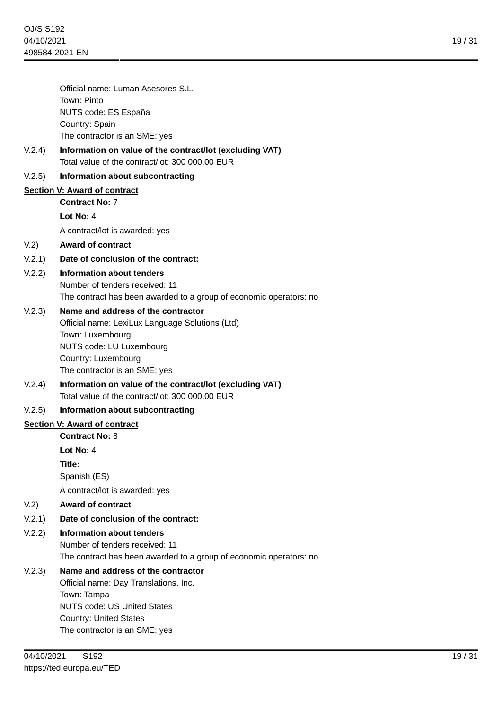Official name: Luman Asesores S.L. Town: Pinto NUTS code: ES España Country: Spain The contractor is an SME: yes

V.2.4) **Information on value of the contract/lot (excluding VAT)** Total value of the contract/lot: 300 000.00 EUR

# V.2.5) **Information about subcontracting**

# **Section V: Award of contract**

**Contract No:** 7

**Lot No:** 4

A contract/lot is awarded: yes

# V.2) **Award of contract**

### V.2.1) **Date of conclusion of the contract:**

# V.2.2) **Information about tenders** Number of tenders received: 11 The contract has been awarded to a group of economic operators: no

# V.2.3) **Name and address of the contractor**

Official name: LexiLux Language Solutions (Ltd) Town: Luxembourg NUTS code: LU Luxembourg Country: Luxembourg The contractor is an SME: yes

V.2.4) **Information on value of the contract/lot (excluding VAT)** Total value of the contract/lot: 300 000.00 EUR

# V.2.5) **Information about subcontracting**

#### **Section V: Award of contract**

**Contract No:** 8

**Lot No:** 4

**Title:**

Spanish (ES)

A contract/lot is awarded: yes

# V.2) **Award of contract**

#### V.2.1) **Date of conclusion of the contract:**

### V.2.2) **Information about tenders** Number of tenders received: 11 The contract has been awarded to a group of economic operators: no

# V.2.3) **Name and address of the contractor**

Official name: Day Translations, Inc. Town: Tampa NUTS code: US United States Country: United States The contractor is an SME: yes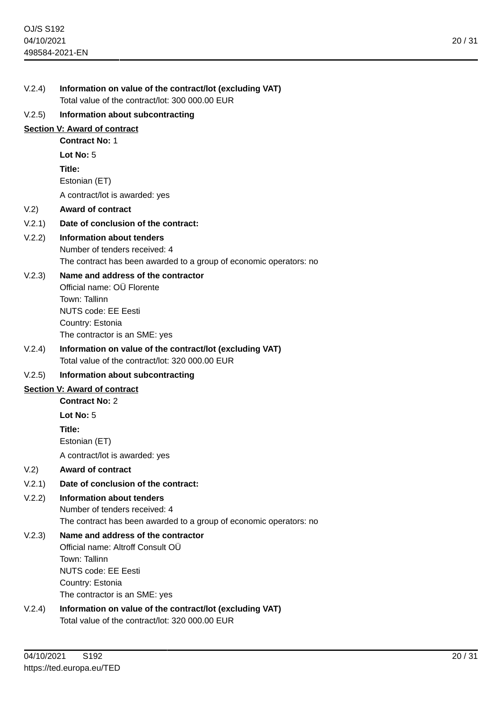| V.2.4) | Information on value of the contract/lot (excluding VAT)<br>Total value of the contract/lot: 300 000.00 EUR                      |
|--------|----------------------------------------------------------------------------------------------------------------------------------|
| V.2.5) | Information about subcontracting                                                                                                 |
|        | <b>Section V: Award of contract</b>                                                                                              |
|        | <b>Contract No: 1</b>                                                                                                            |
|        | Lot No: $5$                                                                                                                      |
|        | Title:                                                                                                                           |
|        | Estonian (ET)                                                                                                                    |
|        | A contract/lot is awarded: yes                                                                                                   |
| V.2)   | <b>Award of contract</b>                                                                                                         |
|        | V.2.1) Date of conclusion of the contract:                                                                                       |
| V.2.2) | Information about tenders<br>Number of tenders received: 4<br>The contract has been awarded to a group of economic operators: no |
| V.2.3) | Name and address of the contractor                                                                                               |
|        | Official name: OÜ Florente                                                                                                       |
|        | Town: Tallinn                                                                                                                    |
|        | NUTS code: EE Eesti                                                                                                              |
|        | Country: Estonia                                                                                                                 |
|        | The contractor is an SME: yes                                                                                                    |
| V.2.4) | Information on value of the contract/lot (excluding VAT)<br>Total value of the contract/lot: 320 000.00 EUR                      |
| V.2.5) | Information about subcontracting                                                                                                 |
|        | Section V: Award of contract                                                                                                     |
|        | <b>Contract No: 2</b>                                                                                                            |
|        | Lot No: $5$                                                                                                                      |
|        | Title:                                                                                                                           |
|        | Estonian (ET)                                                                                                                    |
|        | A contract/lot is awarded: yes                                                                                                   |
| V.2)   | <b>Award of contract</b>                                                                                                         |
| V.2.1) | Date of conclusion of the contract:                                                                                              |
| V.2.2) | Information about tenders                                                                                                        |
|        | Number of tenders received: 4                                                                                                    |
|        | The contract has been awarded to a group of economic operators: no                                                               |
| V.2.3) | Name and address of the contractor<br>Official name: Altroff Consult OÜ                                                          |
|        | Town: Tallinn                                                                                                                    |
|        | <b>NUTS code: EE Eesti</b>                                                                                                       |
|        | Country: Estonia                                                                                                                 |
|        | The contractor is an SME: yes                                                                                                    |
| V.2.4) | Information on value of the contract/lot (excluding VAT)                                                                         |
|        | Total value of the contract/lot: 320 000.00 EUR                                                                                  |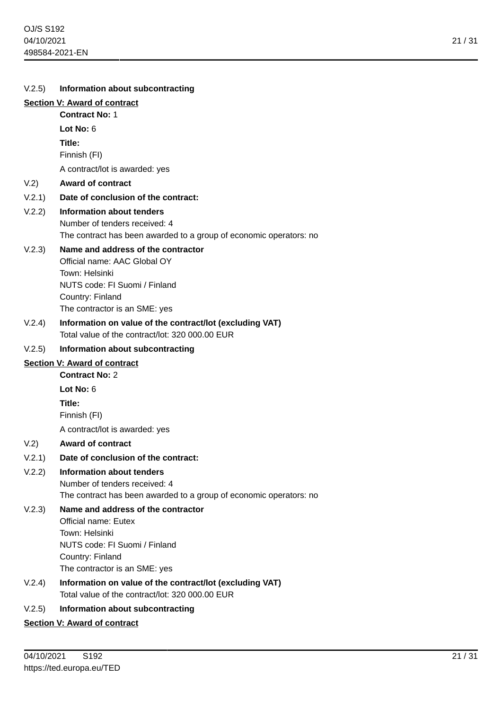# V.2.5) **Information about subcontracting Section V: Award of contract Contract No:** 1 **Lot No:** 6 **Title:** Finnish (FI) A contract/lot is awarded: yes V.2) **Award of contract** V.2.1) **Date of conclusion of the contract:** V.2.2) **Information about tenders** Number of tenders received: 4 The contract has been awarded to a group of economic operators: no V.2.3) **Name and address of the contractor** Official name: AAC Global OY Town: Helsinki NUTS code: FI Suomi / Finland Country: Finland The contractor is an SME: yes V.2.4) **Information on value of the contract/lot (excluding VAT)** Total value of the contract/lot: 320 000.00 EUR V.2.5) **Information about subcontracting Section V: Award of contract Contract No:** 2 **Lot No:** 6 **Title:** Finnish (FI) A contract/lot is awarded: yes V.2) **Award of contract** V.2.1) **Date of conclusion of the contract:** V.2.2) **Information about tenders** Number of tenders received: 4 The contract has been awarded to a group of economic operators: no V.2.3) **Name and address of the contractor** Official name: Eutex Town: Helsinki NUTS code: FI Suomi / Finland Country: Finland The contractor is an SME: yes V.2.4) **Information on value of the contract/lot (excluding VAT)** Total value of the contract/lot: 320 000.00 EUR

# V.2.5) **Information about subcontracting**

# **Section V: Award of contract**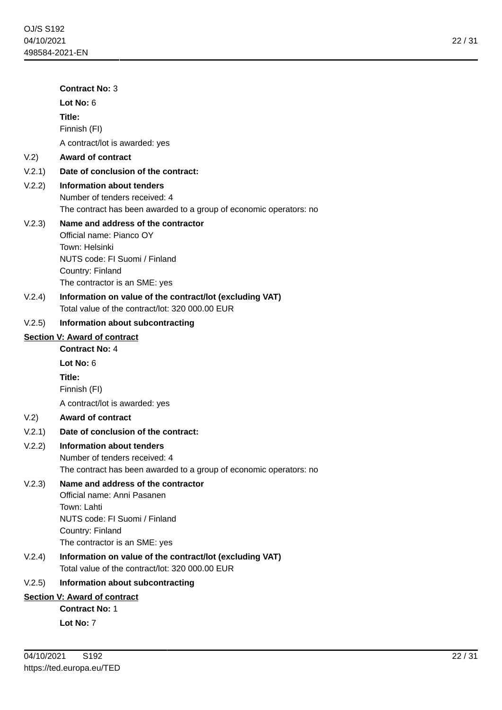**Contract No:** 3 **Lot No:** 6 **Title:** Finnish (FI) A contract/lot is awarded: yes V.2) **Award of contract** V.2.1) **Date of conclusion of the contract:** V.2.2) **Information about tenders** Number of tenders received: 4 The contract has been awarded to a group of economic operators: no V.2.3) **Name and address of the contractor** Official name: Pianco OY Town: Helsinki NUTS code: FI Suomi / Finland Country: Finland The contractor is an SME: yes V.2.4) **Information on value of the contract/lot (excluding VAT)** Total value of the contract/lot: 320 000.00 EUR V.2.5) **Information about subcontracting Section V: Award of contract Contract No:** 4 **Lot No:** 6 **Title:** Finnish (FI) A contract/lot is awarded: yes V.2) **Award of contract** V.2.1) **Date of conclusion of the contract:** V.2.2) **Information about tenders** Number of tenders received: 4 The contract has been awarded to a group of economic operators: no V.2.3) **Name and address of the contractor** Official name: Anni Pasanen Town: Lahti NUTS code: FI Suomi / Finland Country: Finland The contractor is an SME: yes V.2.4) **Information on value of the contract/lot (excluding VAT)** Total value of the contract/lot: 320 000.00 EUR V.2.5) **Information about subcontracting Section V: Award of contract Contract No:** 1 **Lot No:** 7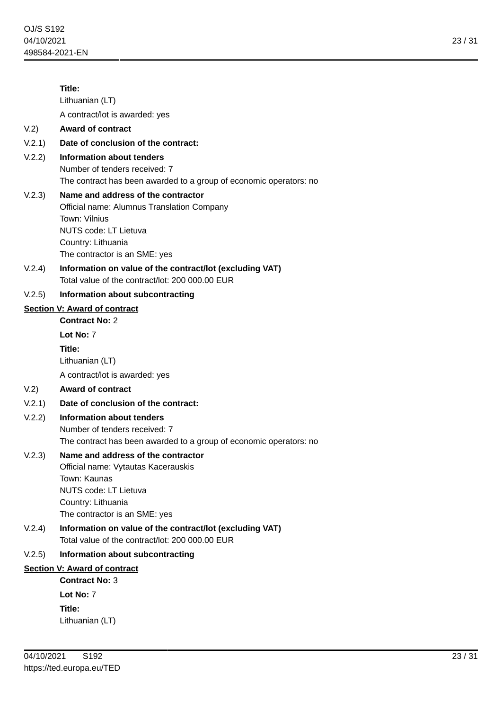|        | Title:                                                                                                      |
|--------|-------------------------------------------------------------------------------------------------------------|
|        | Lithuanian (LT)                                                                                             |
|        | A contract/lot is awarded: yes                                                                              |
| V.2)   | <b>Award of contract</b>                                                                                    |
| V.2.1) | Date of conclusion of the contract:                                                                         |
| V.2.2) | Information about tenders                                                                                   |
|        | Number of tenders received: 7                                                                               |
|        | The contract has been awarded to a group of economic operators: no                                          |
| V.2.3) | Name and address of the contractor<br>Official name: Alumnus Translation Company                            |
|        | Town: Vilnius                                                                                               |
|        | NUTS code: LT Lietuva                                                                                       |
|        | Country: Lithuania                                                                                          |
|        | The contractor is an SME: yes                                                                               |
| V.2.4) | Information on value of the contract/lot (excluding VAT)<br>Total value of the contract/lot: 200 000.00 EUR |
| V.2.5) | Information about subcontracting                                                                            |
|        | <b>Section V: Award of contract</b>                                                                         |
|        | <b>Contract No: 2</b>                                                                                       |
|        | Lot No: 7                                                                                                   |
|        | Title:                                                                                                      |
|        | Lithuanian (LT)                                                                                             |
|        | A contract/lot is awarded: yes                                                                              |
| V.2)   | <b>Award of contract</b>                                                                                    |
| V.2.1) | Date of conclusion of the contract:                                                                         |
| V.2.2) | Information about tenders                                                                                   |
|        | Number of tenders received: 7                                                                               |
|        | The contract has been awarded to a group of economic operators: no                                          |
| V.2.3) | Name and address of the contractor<br>Official name: Vytautas Kacerauskis                                   |
|        | Town: Kaunas                                                                                                |
|        | <b>NUTS code: LT Lietuva</b>                                                                                |
|        | Country: Lithuania                                                                                          |
|        | The contractor is an SME: yes                                                                               |
| V.2.4) | Information on value of the contract/lot (excluding VAT)<br>Total value of the contract/lot: 200 000.00 EUR |
| V.2.5) | Information about subcontracting                                                                            |
|        | <b>Section V: Award of contract</b>                                                                         |
|        | <b>Contract No: 3</b>                                                                                       |
|        | Lot No: 7                                                                                                   |
|        | Title:                                                                                                      |
|        | Lithuanian (LT)                                                                                             |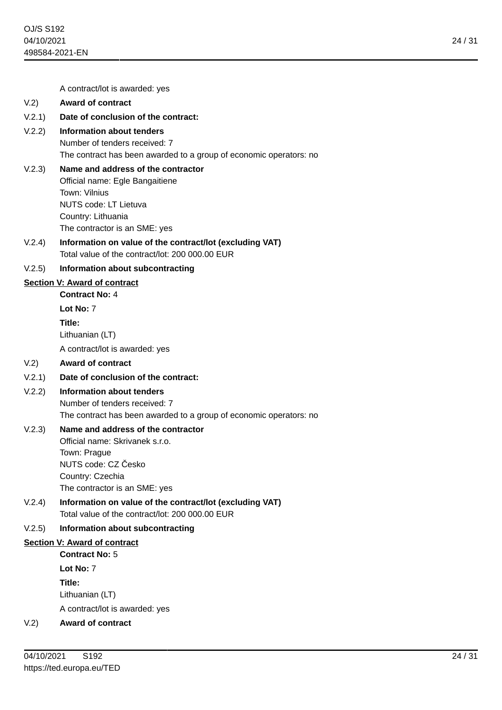A contract/lot is awarded: yes V.2) **Award of contract** V.2.1) **Date of conclusion of the contract:** V.2.2) **Information about tenders** Number of tenders received: 7 The contract has been awarded to a group of economic operators: no V.2.3) **Name and address of the contractor** Official name: Egle Bangaitiene Town: Vilnius NUTS code: LT Lietuva Country: Lithuania The contractor is an SME: yes V.2.4) **Information on value of the contract/lot (excluding VAT)** Total value of the contract/lot: 200 000.00 EUR V.2.5) **Information about subcontracting Section V: Award of contract Contract No:** 4 **Lot No:** 7 **Title:** Lithuanian (LT) A contract/lot is awarded: yes V.2) **Award of contract** V.2.1) **Date of conclusion of the contract:** V.2.2) **Information about tenders** Number of tenders received: 7 The contract has been awarded to a group of economic operators: no V.2.3) **Name and address of the contractor** Official name: Skrivanek s.r.o. Town: Prague NUTS code: CZ Česko Country: Czechia The contractor is an SME: yes V.2.4) **Information on value of the contract/lot (excluding VAT)** Total value of the contract/lot: 200 000.00 EUR V.2.5) **Information about subcontracting Section V: Award of contract Contract No:** 5 **Lot No:** 7 **Title:** Lithuanian (LT)

A contract/lot is awarded: yes

#### V.2) **Award of contract**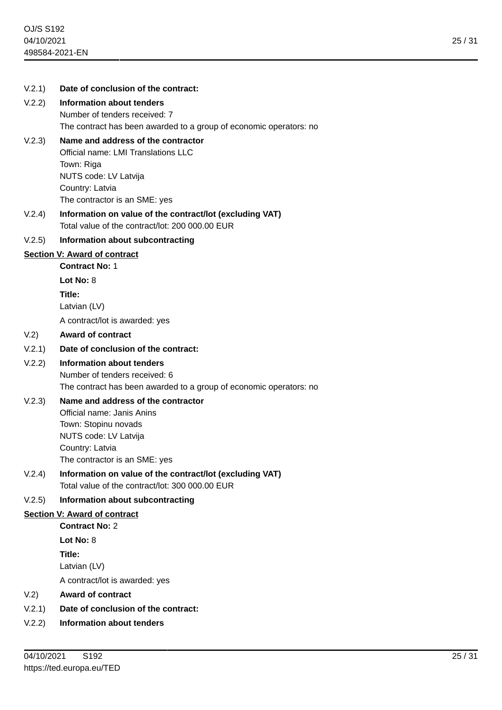# V.2.1) **Date of conclusion of the contract:**

### V.2.2) **Information about tenders** Number of tenders received: 7 The contract has been awarded to a group of economic operators: no

# V.2.3) **Name and address of the contractor**

Official name: LMI Translations LLC Town: Riga NUTS code: LV Latvija Country: Latvia The contractor is an SME: yes

# V.2.4) **Information on value of the contract/lot (excluding VAT)** Total value of the contract/lot: 200 000.00 EUR

### V.2.5) **Information about subcontracting**

### **Section V: Award of contract**

**Contract No:** 1

#### **Lot No:** 8

**Title:**

Latvian (LV)

A contract/lot is awarded: yes

### V.2) **Award of contract**

V.2.1) **Date of conclusion of the contract:**

# V.2.2) **Information about tenders**

Number of tenders received: 6 The contract has been awarded to a group of economic operators: no

# V.2.3) **Name and address of the contractor**

Official name: Janis Anins Town: Stopinu novads NUTS code: LV Latvija Country: Latvia The contractor is an SME: yes

### V.2.4) **Information on value of the contract/lot (excluding VAT)** Total value of the contract/lot: 300 000.00 EUR

# V.2.5) **Information about subcontracting**

#### **Section V: Award of contract**

**Contract No:** 2

**Lot No:** 8

**Title:**

Latvian (LV)

A contract/lot is awarded: yes

#### V.2) **Award of contract**

- V.2.1) **Date of conclusion of the contract:**
- V.2.2) **Information about tenders**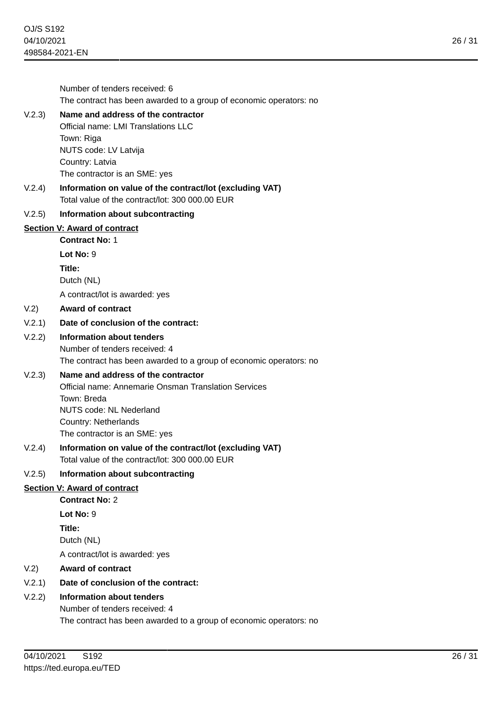|        | Number of tenders received: 6                                              |
|--------|----------------------------------------------------------------------------|
|        | The contract has been awarded to a group of economic operators: no         |
| V.2.3) | Name and address of the contractor<br>Official name: LMI Translations LLC  |
|        | Town: Riga                                                                 |
|        | NUTS code: LV Latvija                                                      |
|        | Country: Latvia                                                            |
|        | The contractor is an SME: yes                                              |
| V.2.4) | Information on value of the contract/lot (excluding VAT)                   |
|        | Total value of the contract/lot: 300 000.00 EUR                            |
| V.2.5) | Information about subcontracting                                           |
|        | Section V: Award of contract<br><b>Contract No: 1</b>                      |
|        | Lot No: 9                                                                  |
|        | Title:                                                                     |
|        | Dutch (NL)                                                                 |
|        | A contract/lot is awarded: yes                                             |
| V.2)   | <b>Award of contract</b>                                                   |
| V.2.1) | Date of conclusion of the contract:                                        |
| V.2.2) | <b>Information about tenders</b>                                           |
|        | Number of tenders received: 4                                              |
|        | The contract has been awarded to a group of economic operators: no         |
| V.2.3) | Name and address of the contractor                                         |
|        | <b>Official name: Annemarie Onsman Translation Services</b><br>Town: Breda |
|        | NUTS code: NL Nederland                                                    |
|        | Country: Netherlands                                                       |
|        | The contractor is an SME: yes                                              |
| V.2.4) | Information on value of the contract/lot (excluding VAT)                   |
|        | Total value of the contract/lot: 300 000.00 EUR                            |
| V.2.5) | Information about subcontracting                                           |
|        | <b>Section V: Award of contract</b><br><b>Contract No: 2</b>               |
|        | Lot No: 9                                                                  |
|        | Title:                                                                     |
|        | Dutch (NL)                                                                 |
|        | A contract/lot is awarded: yes                                             |
| V.2)   | <b>Award of contract</b>                                                   |
| V.2.1) | Date of conclusion of the contract:                                        |
| V.2.2) | <b>Information about tenders</b>                                           |
|        | Number of tenders received: 4                                              |
|        | The contract has been awarded to a group of economic operators: no         |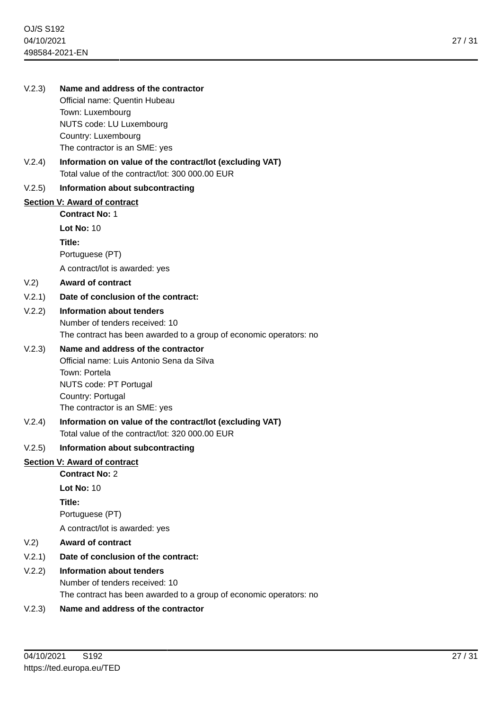| V.2.3)                       | Name and address of the contractor                                 |  |
|------------------------------|--------------------------------------------------------------------|--|
|                              | Official name: Quentin Hubeau                                      |  |
|                              | Town: Luxembourg<br>NUTS code: LU Luxembourg                       |  |
|                              | Country: Luxembourg                                                |  |
|                              | The contractor is an SME: yes                                      |  |
| V.2.4)                       | Information on value of the contract/lot (excluding VAT)           |  |
|                              | Total value of the contract/lot: 300 000,00 EUR                    |  |
| V.2.5)                       | Information about subcontracting                                   |  |
| Section V: Award of contract |                                                                    |  |
|                              | <b>Contract No: 1</b>                                              |  |
|                              | <b>Lot No: 10</b>                                                  |  |
|                              | Title:                                                             |  |
|                              | Portuguese (PT)                                                    |  |
|                              | A contract/lot is awarded: yes                                     |  |
| V.2)                         | <b>Award of contract</b>                                           |  |
| V.2.1)                       | Date of conclusion of the contract:                                |  |
| V.2.2)                       | Information about tenders                                          |  |
|                              | Number of tenders received: 10                                     |  |
|                              | The contract has been awarded to a group of economic operators: no |  |
| V.2.3)                       | Name and address of the contractor                                 |  |
|                              | Official name: Luis Antonio Sena da Silva                          |  |
|                              | Town: Portela<br>NUTS code: PT Portugal                            |  |
|                              | Country: Portugal                                                  |  |
|                              | The contractor is an SME: yes                                      |  |
| V.2.4)                       | Information on value of the contract/lot (excluding VAT)           |  |
|                              | Total value of the contract/lot: 320 000.00 EUR                    |  |
| V.2.5)                       | Information about subcontracting                                   |  |
|                              | <b>Section V: Award of contract</b>                                |  |
|                              | <b>Contract No: 2</b>                                              |  |
|                              | <b>Lot No: 10</b>                                                  |  |
|                              | Title:                                                             |  |
|                              | Portuguese (PT)                                                    |  |
|                              | A contract/lot is awarded: yes                                     |  |
| V.2)                         | <b>Award of contract</b>                                           |  |
| V.2.1)                       | Date of conclusion of the contract:                                |  |
| V.2.2)                       | <b>Information about tenders</b>                                   |  |
|                              | Number of tenders received: 10                                     |  |
|                              | The contract has been awarded to a group of economic operators: no |  |
| V.2.3)                       | Name and address of the contractor                                 |  |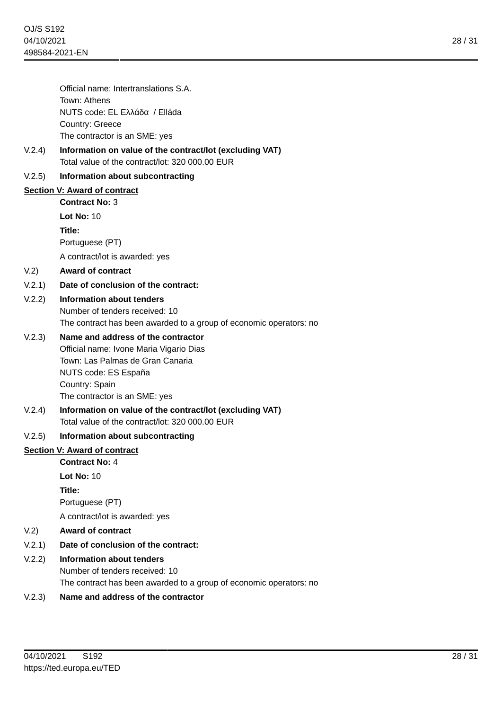28 / 31

Official name: Intertranslations S.A. Town: Athens NUTS code: EL Ελλάδα / Elláda Country: Greece The contractor is an SME: yes

V.2.4) **Information on value of the contract/lot (excluding VAT)** Total value of the contract/lot: 320 000.00 EUR

# V.2.5) **Information about subcontracting**

# **Section V: Award of contract**

**Contract No:** 3

**Lot No:** 10

**Title:**

Portuguese (PT)

A contract/lot is awarded: yes

### V.2) **Award of contract**

V.2.1) **Date of conclusion of the contract:**

# V.2.2) **Information about tenders**

Number of tenders received: 10 The contract has been awarded to a group of economic operators: no

### V.2.3) **Name and address of the contractor**

Official name: Ivone Maria Vigario Dias Town: Las Palmas de Gran Canaria NUTS code: ES España Country: Spain The contractor is an SME: yes

V.2.4) **Information on value of the contract/lot (excluding VAT)** Total value of the contract/lot: 320 000.00 EUR

#### V.2.5) **Information about subcontracting**

# **Section V: Award of contract**

**Contract No:** 4

**Lot No:** 10

**Title:**

Portuguese (PT)

A contract/lot is awarded: yes

# V.2) **Award of contract**

# V.2.1) **Date of conclusion of the contract:**

# V.2.2) **Information about tenders**

Number of tenders received: 10

The contract has been awarded to a group of economic operators: no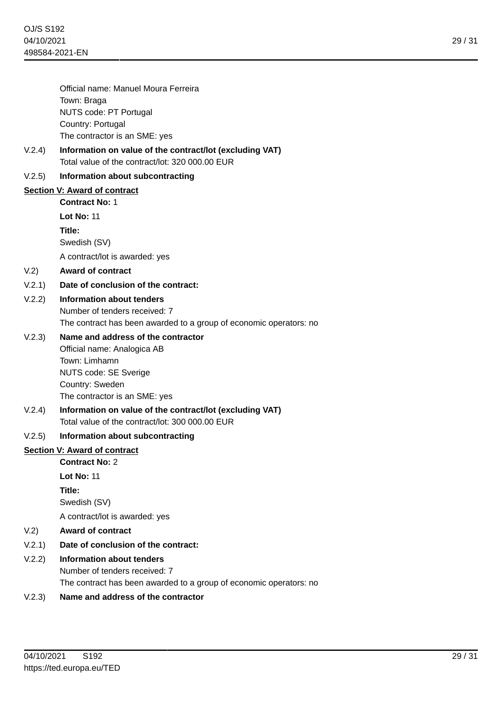Official name: Manuel Moura Ferreira Town: Braga NUTS code: PT Portugal Country: Portugal The contractor is an SME: yes

V.2.4) **Information on value of the contract/lot (excluding VAT)** Total value of the contract/lot: 320 000.00 EUR

# V.2.5) **Information about subcontracting**

# **Section V: Award of contract**

**Contract No:** 1

**Lot No:** 11

**Title:**

Swedish (SV)

A contract/lot is awarded: yes

# V.2) **Award of contract**

# V.2.1) **Date of conclusion of the contract:**

# V.2.2) **Information about tenders**

Number of tenders received: 7 The contract has been awarded to a group of economic operators: no

# V.2.3) **Name and address of the contractor**

Official name: Analogica AB Town: Limhamn NUTS code: SE Sverige Country: Sweden The contractor is an SME: yes

V.2.4) **Information on value of the contract/lot (excluding VAT)** Total value of the contract/lot: 300 000.00 EUR

# V.2.5) **Information about subcontracting**

# **Section V: Award of contract**

**Contract No:** 2

**Lot No:** 11

**Title:**

Swedish (SV)

A contract/lot is awarded: yes

# V.2) **Award of contract**

# V.2.1) **Date of conclusion of the contract:**

# V.2.2) **Information about tenders**

Number of tenders received: 7

The contract has been awarded to a group of economic operators: no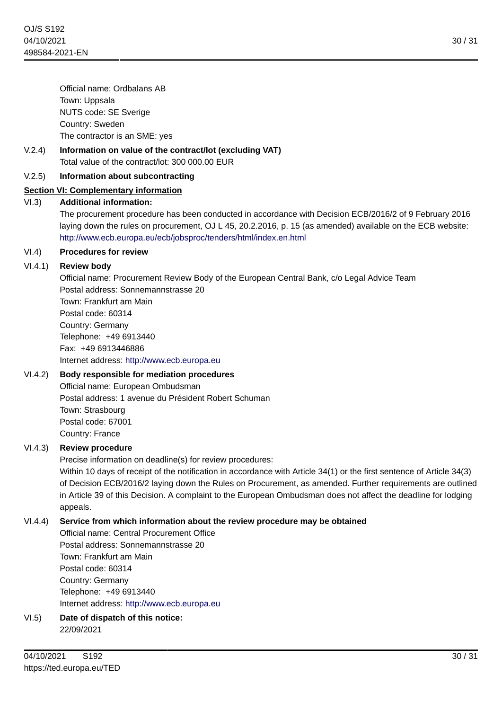30 / 31

Official name: Ordbalans AB Town: Uppsala NUTS code: SE Sverige Country: Sweden The contractor is an SME: yes

# V.2.4) **Information on value of the contract/lot (excluding VAT)** Total value of the contract/lot: 300 000.00 EUR

# V.2.5) **Information about subcontracting**

# **Section VI: Complementary information**

### VI.3) **Additional information:**

The procurement procedure has been conducted in accordance with Decision ECB/2016/2 of 9 February 2016 laying down the rules on procurement, OJ L 45, 20.2.2016, p. 15 (as amended) available on the ECB website: <http://www.ecb.europa.eu/ecb/jobsproc/tenders/html/index.en.html>

### VI.4) **Procedures for review**

### VI.4.1) **Review body**

Official name: Procurement Review Body of the European Central Bank, c/o Legal Advice Team Postal address: Sonnemannstrasse 20 Town: Frankfurt am Main

Postal code: 60314 Country: Germany Telephone: +49 6913440 Fax: +49 6913446886 Internet address: <http://www.ecb.europa.eu>

# VI.4.2) **Body responsible for mediation procedures**

Official name: European Ombudsman Postal address: 1 avenue du Président Robert Schuman Town: Strasbourg Postal code: 67001 Country: France

#### VI.4.3) **Review procedure**

Precise information on deadline(s) for review procedures:

Within 10 days of receipt of the notification in accordance with Article 34(1) or the first sentence of Article 34(3) of Decision ECB/2016/2 laying down the Rules on Procurement, as amended. Further requirements are outlined in Article 39 of this Decision. A complaint to the European Ombudsman does not affect the deadline for lodging appeals.

# VI.4.4) **Service from which information about the review procedure may be obtained**

Official name: Central Procurement Office Postal address: Sonnemannstrasse 20 Town: Frankfurt am Main Postal code: 60314 Country: Germany Telephone: +49 6913440 Internet address: <http://www.ecb.europa.eu>

# VI.5) **Date of dispatch of this notice:** 22/09/2021